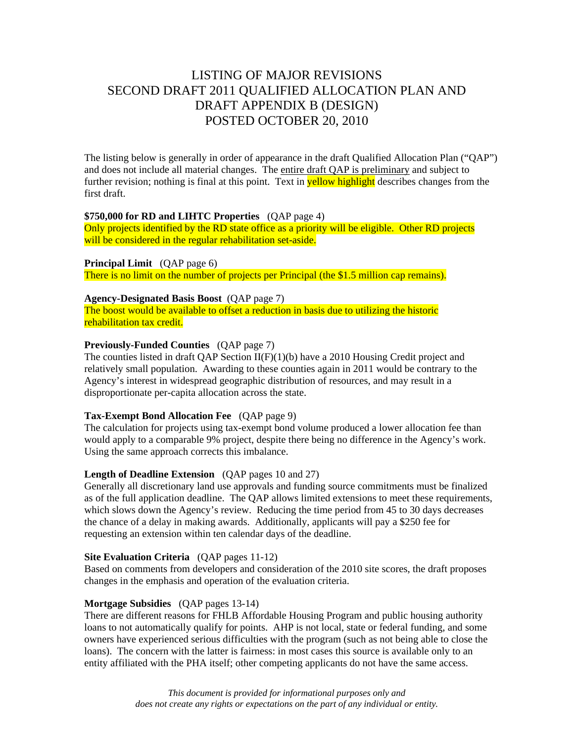# LISTING OF MAJOR REVISIONS SECOND DRAFT 2011 QUALIFIED ALLOCATION PLAN AND DRAFT APPENDIX B (DESIGN) POSTED OCTOBER 20, 2010

The listing below is generally in order of appearance in the draft Qualified Allocation Plan ("QAP") and does not include all material changes. The entire draft QAP is preliminary and subject to further revision; nothing is final at this point. Text in **yellow highlight** describes changes from the first draft.

# **\$750,000 for RD and LIHTC Properties** (QAP page 4)

Only projects identified by the RD state office as a priority will be eligible. Other RD projects will be considered in the regular rehabilitation set-aside.

**Principal Limit** (QAP page 6) There is no limit on the number of projects per Principal (the \$1.5 million cap remains).

## **Agency-Designated Basis Boost** (QAP page 7)

The boost would be available to offset a reduction in basis due to utilizing the historic rehabilitation tax credit.

# **Previously-Funded Counties** (QAP page 7)

The counties listed in draft OAP Section  $II(F)(1)(b)$  have a 2010 Housing Credit project and relatively small population. Awarding to these counties again in 2011 would be contrary to the Agency's interest in widespread geographic distribution of resources, and may result in a disproportionate per-capita allocation across the state.

## **Tax-Exempt Bond Allocation Fee** (QAP page 9)

The calculation for projects using tax-exempt bond volume produced a lower allocation fee than would apply to a comparable 9% project, despite there being no difference in the Agency's work. Using the same approach corrects this imbalance.

## **Length of Deadline Extension** (QAP pages 10 and 27)

Generally all discretionary land use approvals and funding source commitments must be finalized as of the full application deadline. The QAP allows limited extensions to meet these requirements, which slows down the Agency's review. Reducing the time period from 45 to 30 days decreases the chance of a delay in making awards. Additionally, applicants will pay a \$250 fee for requesting an extension within ten calendar days of the deadline.

## **Site Evaluation Criteria** (QAP pages 11-12)

Based on comments from developers and consideration of the 2010 site scores, the draft proposes changes in the emphasis and operation of the evaluation criteria.

# **Mortgage Subsidies** (QAP pages 13-14)

There are different reasons for FHLB Affordable Housing Program and public housing authority loans to not automatically qualify for points. AHP is not local, state or federal funding, and some owners have experienced serious difficulties with the program (such as not being able to close the loans). The concern with the latter is fairness: in most cases this source is available only to an entity affiliated with the PHA itself; other competing applicants do not have the same access.